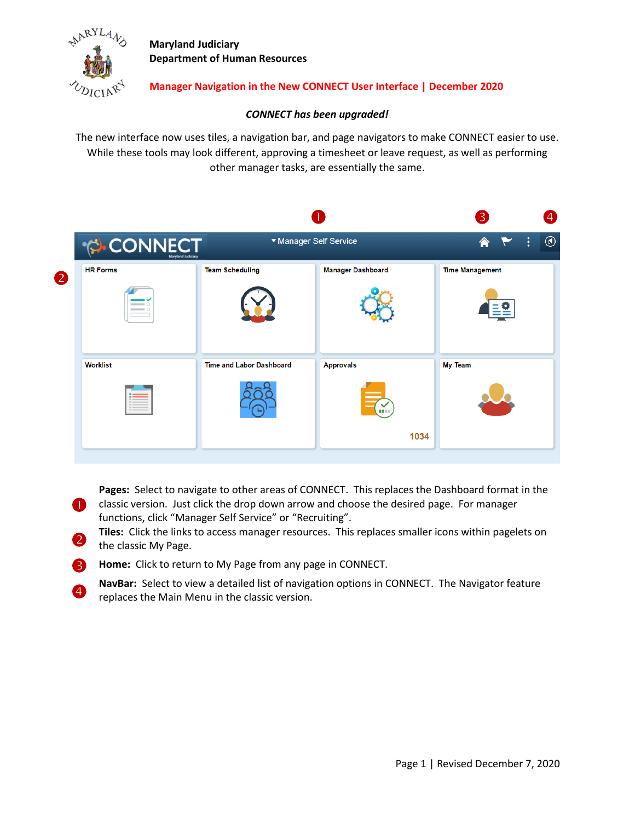

 $\overline{4}$ 

**Maryland Judiciary Department of Human Resources**

#### **Manager Navigation in the New CONNECT User Interface | December 2020**

#### *CONNECT has been upgraded!*

The new interface now uses tiles, a navigation bar, and page navigators to make CONNECT easier to use. While these tools may look different, approving a timesheet or leave request, as well as performing other manager tasks, are essentially the same.

|                        |                                 |                                        | $\overline{3}$               | 4              |
|------------------------|---------------------------------|----------------------------------------|------------------------------|----------------|
|                        |                                 |                                        | ÷<br><mark>@</mark>          | $\circledcirc$ |
| <b>HR Forms</b><br>$-$ | <b>Team Scheduling</b>          | <b>Manager Dashboard</b>               | <b>Time Management</b><br>들은 |                |
| <b>Worklist</b>        | <b>Time and Labor Dashboard</b> | <b>Approvals</b><br><b>THE</b><br>1034 | <b>My Team</b>               |                |
|                        |                                 | CONNECT                                | ▼ Manager Self Service       |                |

**Pages:** Select to navigate to other areas of CONNECT. This replaces the Dashboard format in the

- **Classic version.** Just click the drop down arrow and choose the desired page. For manager functions, click "Manager Self Service" or "Recruiting".
- 2 **Tiles:** Click the links to access manager resources. This replaces smaller icons within pagelets on the classic My Page.
- **B** Home: Click to return to My Page from any page in CONNECT.
	- **NavBar:** Select to view a detailed list of navigation options in CONNECT. The Navigator feature replaces the Main Menu in the classic version.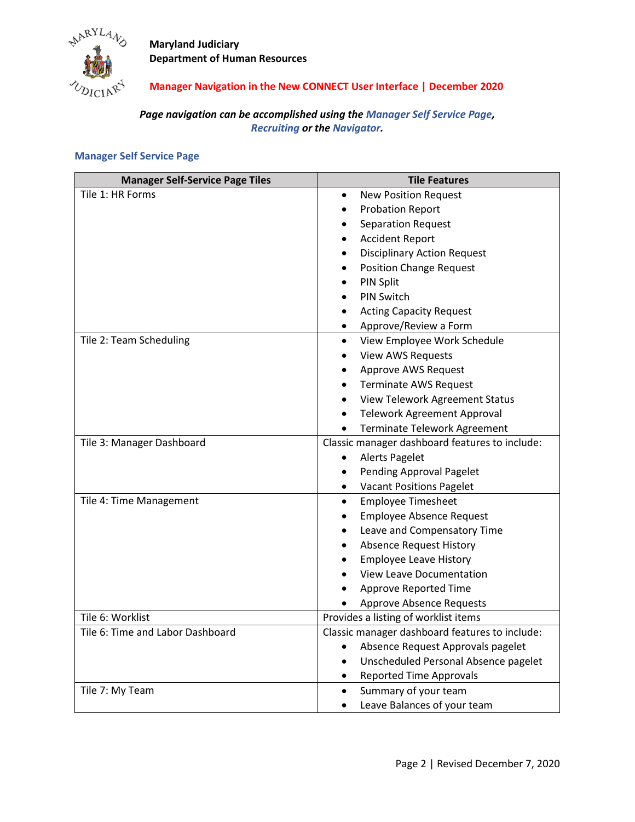

**Maryland Judiciary Department of Human Resources**

## **Manager Navigation in the New CONNECT User Interface | December 2020**

## *Page navigation can be accomplished using the Manager Self Service Page, Recruiting or the Navigator.*

| <b>Manager Self-Service Page Tiles</b> | <b>Tile Features</b>                              |  |
|----------------------------------------|---------------------------------------------------|--|
| Tile 1: HR Forms                       | <b>New Position Request</b><br>$\bullet$          |  |
|                                        | <b>Probation Report</b><br>$\bullet$              |  |
|                                        | <b>Separation Request</b><br>$\bullet$            |  |
|                                        | <b>Accident Report</b><br>$\bullet$               |  |
|                                        | <b>Disciplinary Action Request</b>                |  |
|                                        | <b>Position Change Request</b>                    |  |
|                                        | PIN Split<br>$\bullet$                            |  |
|                                        | <b>PIN Switch</b>                                 |  |
|                                        | <b>Acting Capacity Request</b><br>$\bullet$       |  |
|                                        | Approve/Review a Form<br>$\bullet$                |  |
| Tile 2: Team Scheduling                | View Employee Work Schedule<br>$\bullet$          |  |
|                                        | <b>View AWS Requests</b><br>$\bullet$             |  |
|                                        | Approve AWS Request                               |  |
|                                        | <b>Terminate AWS Request</b><br>$\bullet$         |  |
|                                        | View Telework Agreement Status<br>$\bullet$       |  |
|                                        | <b>Telework Agreement Approval</b><br>$\bullet$   |  |
|                                        | Terminate Telework Agreement<br>$\bullet$         |  |
| Tile 3: Manager Dashboard              | Classic manager dashboard features to include:    |  |
|                                        | <b>Alerts Pagelet</b><br>$\bullet$                |  |
|                                        | Pending Approval Pagelet<br>$\bullet$             |  |
|                                        | <b>Vacant Positions Pagelet</b><br>$\bullet$      |  |
| Tile 4: Time Management                | <b>Employee Timesheet</b><br>$\bullet$            |  |
|                                        | <b>Employee Absence Request</b><br>$\bullet$      |  |
|                                        | Leave and Compensatory Time<br>$\bullet$          |  |
|                                        | <b>Absence Request History</b><br>$\bullet$       |  |
|                                        | <b>Employee Leave History</b><br>$\bullet$        |  |
|                                        | <b>View Leave Documentation</b><br>$\bullet$      |  |
|                                        | Approve Reported Time<br>$\bullet$                |  |
|                                        | <b>Approve Absence Requests</b>                   |  |
| Tile 6: Worklist                       | Provides a listing of worklist items              |  |
| Tile 6: Time and Labor Dashboard       | Classic manager dashboard features to include:    |  |
|                                        | Absence Request Approvals pagelet<br>$\bullet$    |  |
|                                        | Unscheduled Personal Absence pagelet<br>$\bullet$ |  |
|                                        | <b>Reported Time Approvals</b><br>$\bullet$       |  |
| Tile 7: My Team                        | Summary of your team<br>$\bullet$                 |  |
|                                        | Leave Balances of your team                       |  |

### **Manager Self Service Page**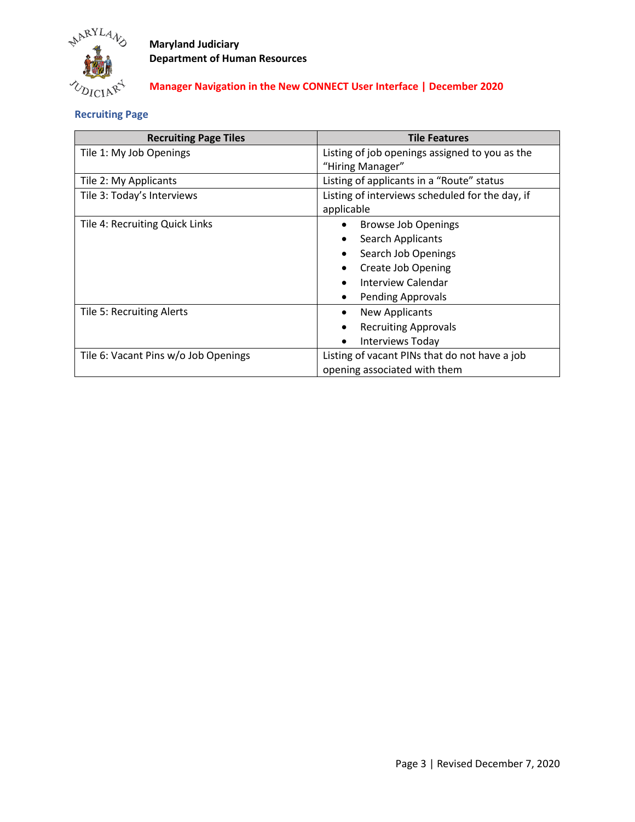

# **Maryland Judiciary Department of Human Resources**

## **Manager Navigation in the New CONNECT User Interface | December 2020**

## **Recruiting Page**

| <b>Recruiting Page Tiles</b>         | <b>Tile Features</b>                            |  |
|--------------------------------------|-------------------------------------------------|--|
| Tile 1: My Job Openings              | Listing of job openings assigned to you as the  |  |
|                                      | "Hiring Manager"                                |  |
| Tile 2: My Applicants                | Listing of applicants in a "Route" status       |  |
| Tile 3: Today's Interviews           | Listing of interviews scheduled for the day, if |  |
|                                      | applicable                                      |  |
| Tile 4: Recruiting Quick Links       | <b>Browse Job Openings</b>                      |  |
|                                      | Search Applicants                               |  |
|                                      | Search Job Openings                             |  |
|                                      | <b>Create Job Opening</b>                       |  |
|                                      | Interview Calendar<br>$\bullet$                 |  |
|                                      | <b>Pending Approvals</b><br>$\bullet$           |  |
| Tile 5: Recruiting Alerts            | <b>New Applicants</b><br>$\bullet$              |  |
|                                      | <b>Recruiting Approvals</b><br>$\bullet$        |  |
|                                      | <b>Interviews Today</b><br>$\bullet$            |  |
| Tile 6: Vacant Pins w/o Job Openings | Listing of vacant PINs that do not have a job   |  |
|                                      | opening associated with them                    |  |